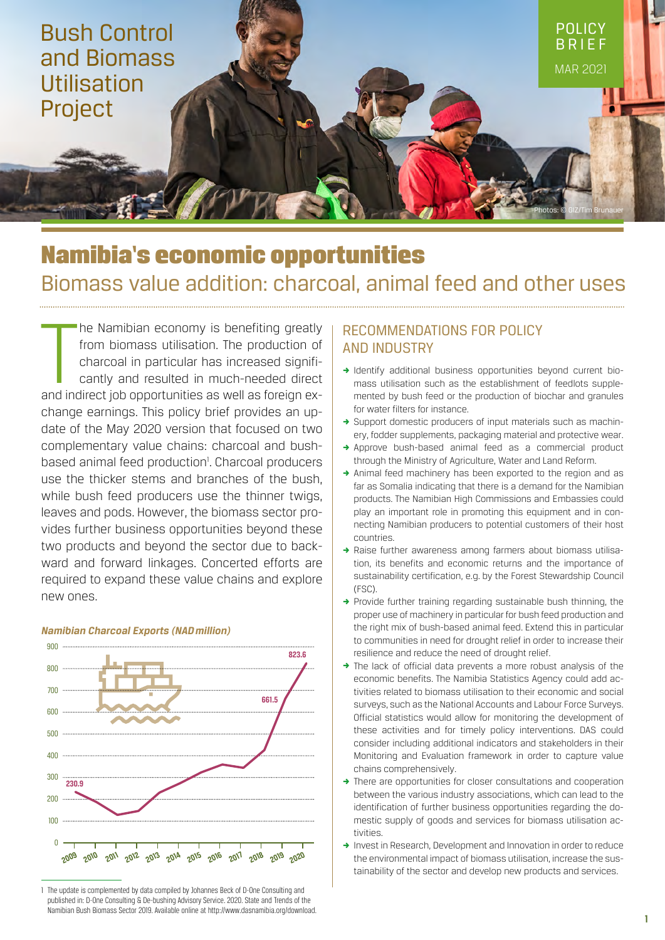

# Namibia's economic opportunities Biomass value addition: charcoal, animal feed and other uses

The Namibian economy is benefiting greatly<br>from biomass utilisation. The production of<br>charcoal in particular has increased signifi-<br>cantly and resulted in much-needed direct<br>and indirect job opportunities as well as forei he Namibian economy is benefiting greatly from biomass utilisation. The production of charcoal in particular has increased significantly and resulted in much-needed direct change earnings. This policy brief provides an update of the May 2020 version that focused on two complementary value chains: charcoal and bushbased animal feed production<sup>1</sup>. Charcoal producers use the thicker stems and branches of the bush, while bush feed producers use the thinner twigs, leaves and pods. However, the biomass sector provides further business opportunities beyond these two products and beyond the sector due to backward and forward linkages. Concerted efforts are required to expand these value chains and explore new ones.



## *Namibian Charcoal Exports (NAD million)*

# Recommendations for policy and industry

- , Identify additional business opportunities beyond current biomass utilisation such as the establishment of feedlots supplemented by bush feed or the production of biochar and granules for water filters for instance.
- , Support domestic producers of input materials such as machinery, fodder supplements, packaging material and protective wear.
- , Approve bush-based animal feed as a commercial product through the Ministry of Agriculture, Water and Land Reform.
- $\rightarrow$  Animal feed machinery has been exported to the region and as far as Somalia indicating that there is a demand for the Namibian products. The Namibian High Commissions and Embassies could play an important role in promoting this equipment and in connecting Namibian producers to potential customers of their host countries.
- A Raise further awareness among farmers about biomass utilisation, its benefits and economic returns and the importance of sustainability certification, e.g. by the Forest Stewardship Council (FSC).
- $\rightarrow$  Provide further training regarding sustainable bush thinning, the proper use of machinery in particular for bush feed production and the right mix of bush-based animal feed. Extend this in particular to communities in need for drought relief in order to increase their resilience and reduce the need of drought relief.
- , The lack of official data prevents a more robust analysis of the economic benefits. The Namibia Statistics Agency could add activities related to biomass utilisation to their economic and social surveys, such as the National Accounts and Labour Force Surveys. Official statistics would allow for monitoring the development of these activities and for timely policy interventions. DAS could consider including additional indicators and stakeholders in their Monitoring and Evaluation framework in order to capture value chains comprehensively.
- $\rightarrow$  There are opportunities for closer consultations and cooperation between the various industry associations, which can lead to the identification of further business opportunities regarding the domestic supply of goods and services for biomass utilisation activities.
- → Invest in Research, Development and Innovation in order to reduce the environmental impact of biomass utilisation, increase the sustainability of the sector and develop new products and services.

<sup>1</sup> The update is complemented by data compiled by Johannes Beck of D-One Consulting and published in: D-One Consulting & De-bushing Advisory Service. 2020. State and Trends of the Namibian Bush Biomass Sector 2019. Available online at http://www.dasnamibia.org/download.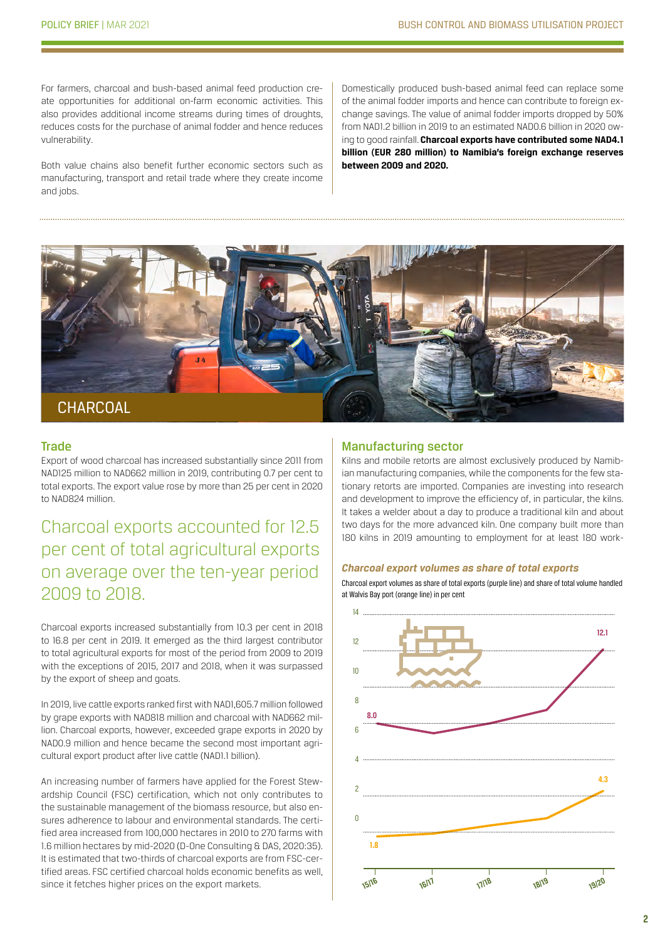For farmers, charcoal and bush-based animal feed production create opportunities for additional on-farm economic activities. This also provides additional income streams during times of droughts, reduces costs for the purchase of animal fodder and hence reduces vulnerability.

Both value chains also benefit further economic sectors such as manufacturing, transport and retail trade where they create income and jobs.

Domestically produced bush-based animal feed can replace some of the animal fodder imports and hence can contribute to foreign exchange savings. The value of animal fodder imports dropped by 50% from NAD1.2 billion in 2019 to an estimated NAD0.6 billion in 2020 owing to good rainfall. **Charcoal exports have contributed some NAD4.1 billion (EUR 280 million) to Namibia's foreign exchange reserves between 2009 and 2020.**



## **Trade**

Export of wood charcoal has increased substantially since 2011 from NAD125 million to NAD662 million in 2019, contributing 0.7 per cent to total exports. The export value rose by more than 25 per cent in 2020 to NAD824 million.

Charcoal exports accounted for 12.5 per cent of total agricultural exports on average over the ten-year period 2009 to 2018.

Charcoal exports increased substantially from 10.3 per cent in 2018 to 16.8 per cent in 2019. It emerged as the third largest contributor to total agricultural exports for most of the period from 2009 to 2019 with the exceptions of 2015, 2017 and 2018, when it was surpassed by the export of sheep and goats.

In 2019, live cattle exports ranked first with NAD1,605.7 million followed by grape exports with NAD818 million and charcoal with NAD662 million. Charcoal exports, however, exceeded grape exports in 2020 by NAD0.9 million and hence became the second most important agricultural export product after live cattle (NAD1.1 billion).

An increasing number of farmers have applied for the Forest Stewardship Council (FSC) certification, which not only contributes to the sustainable management of the biomass resource, but also ensures adherence to labour and environmental standards. The certified area increased from 100,000 hectares in 2010 to 270 farms with 1.6 million hectares by mid-2020 (D-One Consulting & DAS, 2020:35). It is estimated that two-thirds of charcoal exports are from FSC-certified areas. FSC certified charcoal holds economic benefits as well, since it fetches higher prices on the export markets.

## Manufacturing sector

Kilns and mobile retorts are almost exclusively produced by Namibian manufacturing companies, while the components for the few stationary retorts are imported. Companies are investing into research and development to improve the efficiency of, in particular, the kilns. It takes a welder about a day to produce a traditional kiln and about two days for the more advanced kiln. One company built more than 180 kilns in 2019 amounting to employment for at least 180 work-

#### *Charcoal export volumes as share of total exports*

Charcoal export volumes as share of total exports (purple line) and share of total volume handled at Walvis Bay port (orange line) in per cent

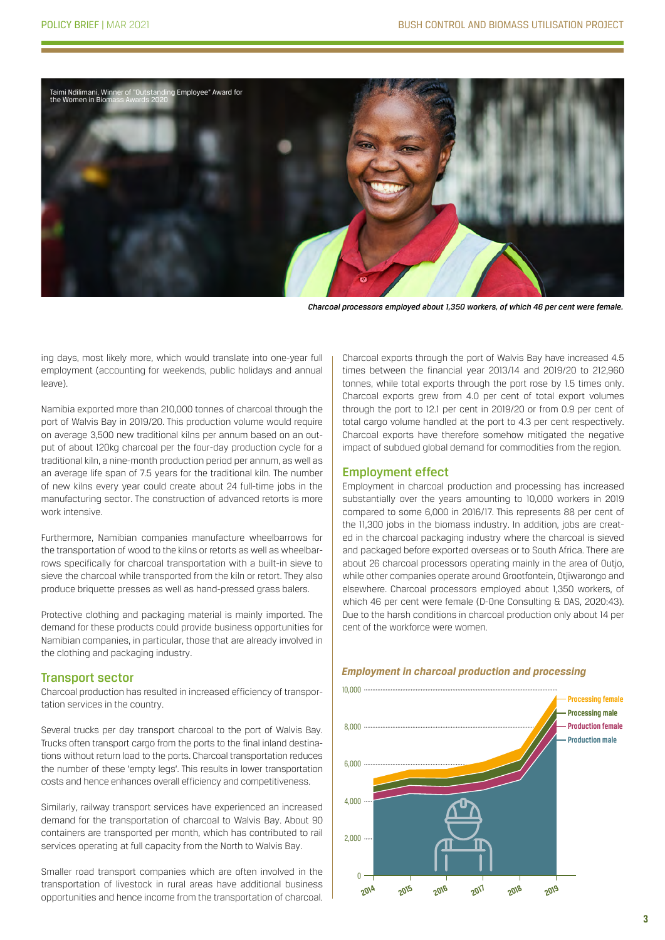

*Charcoal processors employed about 1,350 workers, of which 46 per cent were female.*

ing days, most likely more, which would translate into one-year full employment (accounting for weekends, public holidays and annual leave).

Namibia exported more than 210,000 tonnes of charcoal through the port of Walvis Bay in 2019/20. This production volume would require on average 3,500 new traditional kilns per annum based on an output of about 120kg charcoal per the four-day production cycle for a traditional kiln, a nine-month production period per annum, as well as an average life span of 7.5 years for the traditional kiln. The number of new kilns every year could create about 24 full-time jobs in the manufacturing sector. The construction of advanced retorts is more work intensive.

Furthermore, Namibian companies manufacture wheelbarrows for the transportation of wood to the kilns or retorts as well as wheelbarrows specifically for charcoal transportation with a built-in sieve to sieve the charcoal while transported from the kiln or retort. They also produce briquette presses as well as hand-pressed grass balers.

Protective clothing and packaging material is mainly imported. The demand for these products could provide business opportunities for Namibian companies, in particular, those that are already involved in the clothing and packaging industry.

#### Transport sector

Charcoal production has resulted in increased efficiency of transportation services in the country.

Several trucks per day transport charcoal to the port of Walvis Bay. Trucks often transport cargo from the ports to the final inland destinations without return load to the ports. Charcoal transportation reduces the number of these 'empty legs'. This results in lower transportation costs and hence enhances overall efficiency and competitiveness.

Similarly, railway transport services have experienced an increased demand for the transportation of charcoal to Walvis Bay. About 90 containers are transported per month, which has contributed to rail services operating at full capacity from the North to Walvis Bay.

Smaller road transport companies which are often involved in the transportation of livestock in rural areas have additional business opportunities and hence income from the transportation of charcoal.

Charcoal exports through the port of Walvis Bay have increased 4.5 times between the financial year 2013/14 and 2019/20 to 212,960 tonnes, while total exports through the port rose by 1.5 times only. Charcoal exports grew from 4.0 per cent of total export volumes through the port to 12.1 per cent in 2019/20 or from 0.9 per cent of total cargo volume handled at the port to 4.3 per cent respectively. Charcoal exports have therefore somehow mitigated the negative impact of subdued global demand for commodities from the region.

## Employment effect

Employment in charcoal production and processing has increased substantially over the years amounting to 10,000 workers in 2019 compared to some 6,000 in 2016/17. This represents 88 per cent of the 11,300 jobs in the biomass industry. In addition, jobs are created in the charcoal packaging industry where the charcoal is sieved and packaged before exported overseas or to South Africa. There are about 26 charcoal processors operating mainly in the area of Outjo, while other companies operate around Grootfontein, Otjiwarongo and elsewhere. Charcoal processors employed about 1,350 workers, of which 46 per cent were female (D-One Consulting & DAS, 2020:43). Due to the harsh conditions in charcoal production only about 14 per cent of the workforce were women.



## *Employment in charcoal production and processing*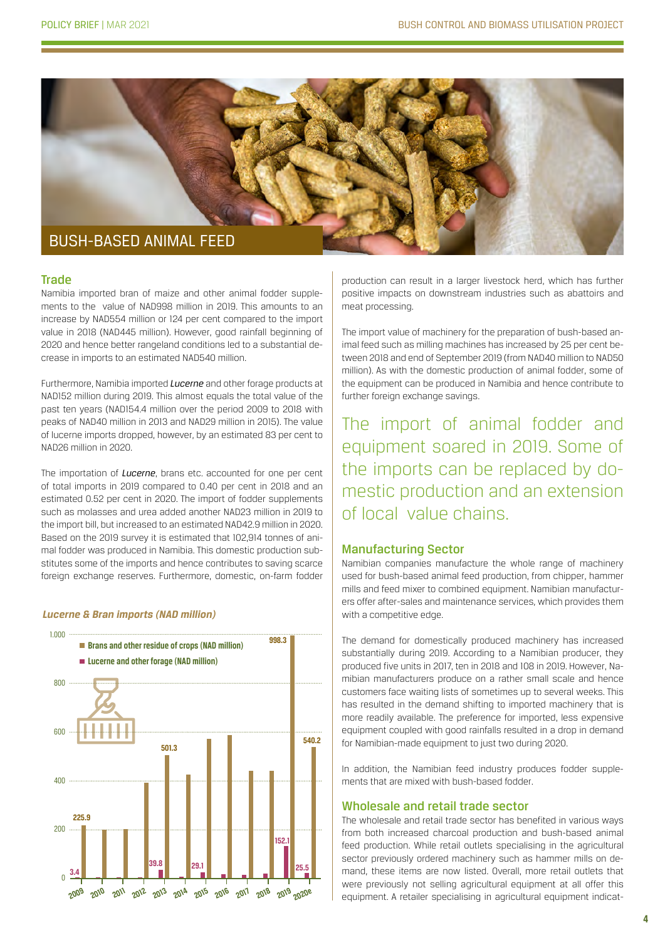

#### Trade

Namibia imported bran of maize and other animal fodder supplements to the value of NAD998 million in 2019. This amounts to an increase by NAD554 million or 124 per cent compared to the import value in 2018 (NAD445 million). However, good rainfall beginning of 2020 and hence better rangeland conditions led to a substantial decrease in imports to an estimated NAD540 million.

Furthermore, Namibia imported *Lucerne* and other forage products at NAD152 million during 2019. This almost equals the total value of the past ten years (NAD154.4 million over the period 2009 to 2018 with peaks of NAD40 million in 2013 and NAD29 million in 2015). The value of lucerne imports dropped, however, by an estimated 83 per cent to NAD26 million in 2020.

The importation of *Lucerne*, brans etc. accounted for one per cent of total imports in 2019 compared to 0.40 per cent in 2018 and an estimated 0.52 per cent in 2020. The import of fodder supplements such as molasses and urea added another NAD23 million in 2019 to the import bill, but increased to an estimated NAD42.9 million in 2020. Based on the 2019 survey it is estimated that 102,914 tonnes of animal fodder was produced in Namibia. This domestic production substitutes some of the imports and hence contributes to saving scarce foreign exchange reserves. Furthermore, domestic, on-farm fodder

#### *Lucerne & Bran imports (NAD million)*



production can result in a larger livestock herd, which has further positive impacts on downstream industries such as abattoirs and meat processing.

The import value of machinery for the preparation of bush-based animal feed such as milling machines has increased by 25 per cent between 2018 and end of September 2019 (from NAD40 million to NAD50 million). As with the domestic production of animal fodder, some of the equipment can be produced in Namibia and hence contribute to further foreign exchange savings.

The import of animal fodder and equipment soared in 2019. Some of the imports can be replaced by domestic production and an extension of local value chains.

## Manufacturing Sector

Namibian companies manufacture the whole range of machinery used for bush-based animal feed production, from chipper, hammer mills and feed mixer to combined equipment. Namibian manufacturers offer after-sales and maintenance services, which provides them with a competitive edge.

The demand for domestically produced machinery has increased substantially during 2019. According to a Namibian producer, they produced five units in 2017, ten in 2018 and 108 in 2019. However, Namibian manufacturers produce on a rather small scale and hence customers face waiting lists of sometimes up to several weeks. This has resulted in the demand shifting to imported machinery that is more readily available. The preference for imported, less expensive equipment coupled with good rainfalls resulted in a drop in demand for Namibian-made equipment to just two during 2020.

In addition, the Namibian feed industry produces fodder supplements that are mixed with bush-based fodder.

## Wholesale and retail trade sector

The wholesale and retail trade sector has benefited in various ways from both increased charcoal production and bush-based animal feed production. While retail outlets specialising in the agricultural sector previously ordered machinery such as hammer mills on demand, these items are now listed. Overall, more retail outlets that were previously not selling agricultural equipment at all offer this equipment. A retailer specialising in agricultural equipment indicat-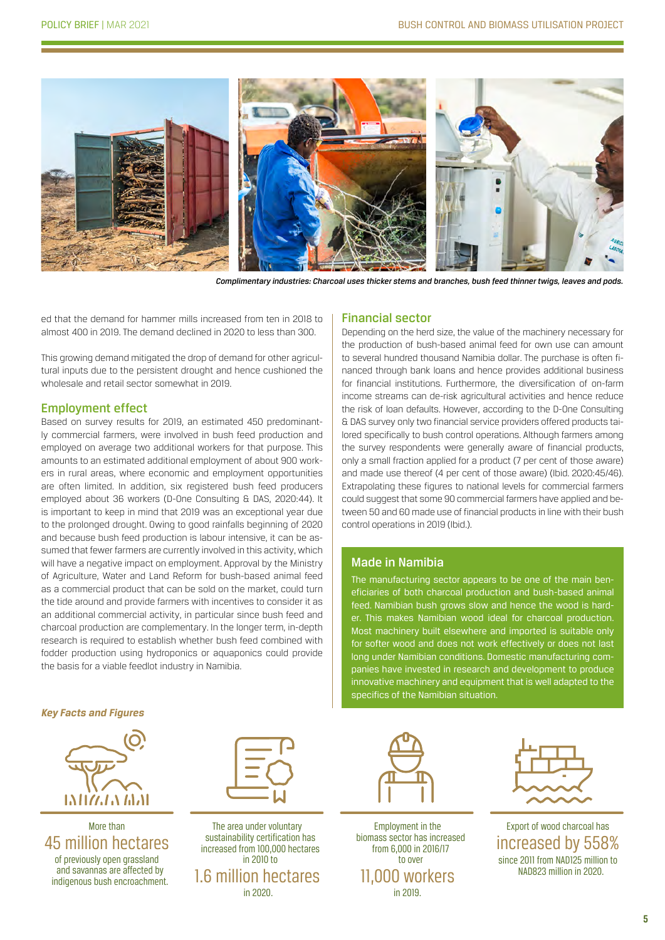

*Complimentary industries: Charcoal uses thicker stems and branches, bush feed thinner twigs, leaves and pods.* 

ed that the demand for hammer mills increased from ten in 2018 to almost 400 in 2019. The demand declined in 2020 to less than 300.

This growing demand mitigated the drop of demand for other agricultural inputs due to the persistent drought and hence cushioned the wholesale and retail sector somewhat in 2019.

## Employment effect

Based on survey results for 2019, an estimated 450 predominantly commercial farmers, were involved in bush feed production and employed on average two additional workers for that purpose. This amounts to an estimated additional employment of about 900 workers in rural areas, where economic and employment opportunities are often limited. In addition, six registered bush feed producers employed about 36 workers (D-One Consulting & DAS, 2020:44). It is important to keep in mind that 2019 was an exceptional year due to the prolonged drought. Owing to good rainfalls beginning of 2020 and because bush feed production is labour intensive, it can be assumed that fewer farmers are currently involved in this activity, which will have a negative impact on employment. Approval by the Ministry of Agriculture, Water and Land Reform for bush-based animal feed as a commercial product that can be sold on the market, could turn the tide around and provide farmers with incentives to consider it as an additional commercial activity, in particular since bush feed and charcoal production are complementary. In the longer term, in-depth research is required to establish whether bush feed combined with fodder production using hydroponics or aquaponics could provide the basis for a viable feedlot industry in Namibia.

#### Financial sector

Depending on the herd size, the value of the machinery necessary for the production of bush-based animal feed for own use can amount to several hundred thousand Namibia dollar. The purchase is often financed through bank loans and hence provides additional business for financial institutions. Furthermore, the diversification of on-farm income streams can de-risk agricultural activities and hence reduce the risk of loan defaults. However, according to the D-One Consulting & DAS survey only two financial service providers offered products tailored specifically to bush control operations. Although farmers among the survey respondents were generally aware of financial products, only a small fraction applied for a product (7 per cent of those aware) and made use thereof (4 per cent of those aware) (Ibid. 2020:45/46). Extrapolating these figures to national levels for commercial farmers could suggest that some 90 commercial farmers have applied and between 50 and 60 made use of financial products in line with their bush control operations in 2019 (Ibid.).

## Made in Namibia

The manufacturing sector appears to be one of the main beneficiaries of both charcoal production and bush-based animal feed. Namibian bush grows slow and hence the wood is harder. This makes Namibian wood ideal for charcoal production. Most machinery built elsewhere and imported is suitable only for softer wood and does not work effectively or does not last long under Namibian conditions. Domestic manufacturing companies have invested in research and development to produce innovative machinery and equipment that is well adapted to the specifics of the Namibian situation.

*Key Facts and Figures*



More than 45 million hectares of previously open grassland and savannas are affected by indigenous bush encroachment.



The area under voluntary sustainability certification has increased from 100,000 hectares in 2010 to 1.6 million hectares in 2020.



Employment in the biomass sector has increased from 6,000 in 2016/17 to over 11,000 workers in 2019.



Export of wood charcoal has increased by 558% since 2011 from NAD125 million to NAD823 million in 2020.